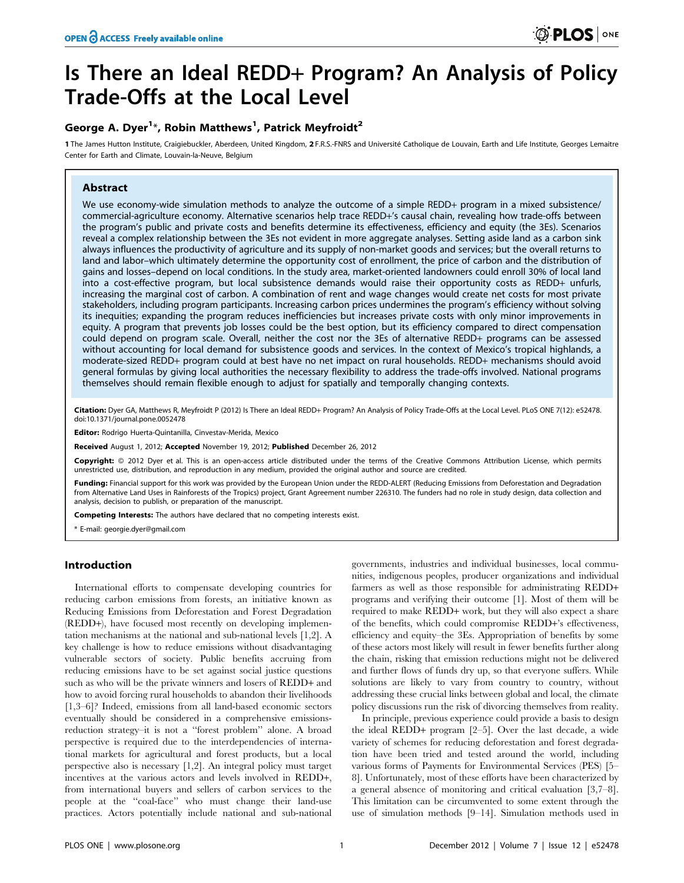# Is There an Ideal REDD+ Program? An Analysis of Policy Trade-Offs at the Local Level

# George A. Dyer<sup>1\*</sup>, Robin Matthews<sup>1</sup>, Patrick Meyfroidt<sup>2</sup>

1 The James Hutton Institute, Craigiebuckler, Aberdeen, United Kingdom, 2 F.R.S.-FNRS and Université Catholique de Louvain, Earth and Life Institute, Georges Lemaitre Center for Earth and Climate, Louvain-la-Neuve, Belgium

# Abstract

We use economy-wide simulation methods to analyze the outcome of a simple REDD+ program in a mixed subsistence/ commercial-agriculture economy. Alternative scenarios help trace REDD+'s causal chain, revealing how trade-offs between the program's public and private costs and benefits determine its effectiveness, efficiency and equity (the 3Es). Scenarios reveal a complex relationship between the 3Es not evident in more aggregate analyses. Setting aside land as a carbon sink always influences the productivity of agriculture and its supply of non-market goods and services; but the overall returns to land and labor–which ultimately determine the opportunity cost of enrollment, the price of carbon and the distribution of gains and losses–depend on local conditions. In the study area, market-oriented landowners could enroll 30% of local land into a cost-effective program, but local subsistence demands would raise their opportunity costs as REDD+ unfurls, increasing the marginal cost of carbon. A combination of rent and wage changes would create net costs for most private stakeholders, including program participants. Increasing carbon prices undermines the program's efficiency without solving its inequities; expanding the program reduces inefficiencies but increases private costs with only minor improvements in equity. A program that prevents job losses could be the best option, but its efficiency compared to direct compensation could depend on program scale. Overall, neither the cost nor the 3Es of alternative REDD+ programs can be assessed without accounting for local demand for subsistence goods and services. In the context of Mexico's tropical highlands, a moderate-sized REDD+ program could at best have no net impact on rural households. REDD+ mechanisms should avoid general formulas by giving local authorities the necessary flexibility to address the trade-offs involved. National programs themselves should remain flexible enough to adjust for spatially and temporally changing contexts.

Citation: Dyer GA, Matthews R, Meyfroidt P (2012) Is There an Ideal REDD+ Program? An Analysis of Policy Trade-Offs at the Local Level. PLoS ONE 7(12): e52478. doi:10.1371/journal.pone.0052478

Editor: Rodrigo Huerta-Quintanilla, Cinvestav-Merida, Mexico

Received August 1, 2012; Accepted November 19, 2012; Published December 26, 2012

Copyright: © 2012 Dyer et al. This is an open-access article distributed under the terms of the Creative Commons Attribution License, which permits unrestricted use, distribution, and reproduction in any medium, provided the original author and source are credited.

Funding: Financial support for this work was provided by the European Union under the REDD-ALERT (Reducing Emissions from Deforestation and Degradation from Alternative Land Uses in Rainforests of the Tropics) project, Grant Agreement number 226310. The funders had no role in study design, data collection and analysis, decision to publish, or preparation of the manuscript.

Competing Interests: The authors have declared that no competing interests exist.

\* E-mail: georgie.dyer@gmail.com

#### Introduction

International efforts to compensate developing countries for reducing carbon emissions from forests, an initiative known as Reducing Emissions from Deforestation and Forest Degradation (REDD+), have focused most recently on developing implementation mechanisms at the national and sub-national levels [1,2]. A key challenge is how to reduce emissions without disadvantaging vulnerable sectors of society. Public benefits accruing from reducing emissions have to be set against social justice questions such as who will be the private winners and losers of REDD+ and how to avoid forcing rural households to abandon their livelihoods [1,3–6]? Indeed, emissions from all land-based economic sectors eventually should be considered in a comprehensive emissionsreduction strategy–it is not a ''forest problem'' alone. A broad perspective is required due to the interdependencies of international markets for agricultural and forest products, but a local perspective also is necessary [1,2]. An integral policy must target incentives at the various actors and levels involved in REDD+, from international buyers and sellers of carbon services to the people at the ''coal-face'' who must change their land-use practices. Actors potentially include national and sub-national

governments, industries and individual businesses, local communities, indigenous peoples, producer organizations and individual farmers as well as those responsible for administrating REDD+ programs and verifying their outcome [1]. Most of them will be required to make REDD+ work, but they will also expect a share of the benefits, which could compromise REDD+'s effectiveness, efficiency and equity–the 3Es. Appropriation of benefits by some of these actors most likely will result in fewer benefits further along the chain, risking that emission reductions might not be delivered and further flows of funds dry up, so that everyone suffers. While solutions are likely to vary from country to country, without addressing these crucial links between global and local, the climate policy discussions run the risk of divorcing themselves from reality.

In principle, previous experience could provide a basis to design the ideal REDD+ program [2–5]. Over the last decade, a wide variety of schemes for reducing deforestation and forest degradation have been tried and tested around the world, including various forms of Payments for Environmental Services (PES) [5– 8]. Unfortunately, most of these efforts have been characterized by a general absence of monitoring and critical evaluation [3,7–8]. This limitation can be circumvented to some extent through the use of simulation methods [9–14]. Simulation methods used in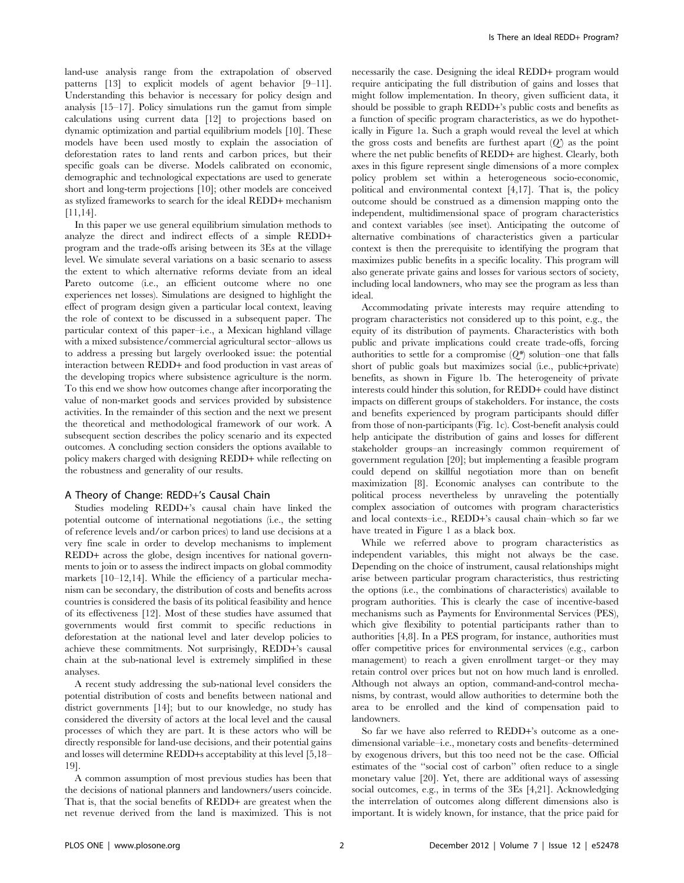land-use analysis range from the extrapolation of observed patterns [13] to explicit models of agent behavior [9–11]. Understanding this behavior is necessary for policy design and analysis [15–17]. Policy simulations run the gamut from simple calculations using current data [12] to projections based on dynamic optimization and partial equilibrium models [10]. These models have been used mostly to explain the association of deforestation rates to land rents and carbon prices, but their specific goals can be diverse. Models calibrated on economic, demographic and technological expectations are used to generate short and long-term projections [10]; other models are conceived as stylized frameworks to search for the ideal REDD+ mechanism [11,14].

In this paper we use general equilibrium simulation methods to analyze the direct and indirect effects of a simple REDD+ program and the trade-offs arising between its 3Es at the village level. We simulate several variations on a basic scenario to assess the extent to which alternative reforms deviate from an ideal Pareto outcome (i.e., an efficient outcome where no one experiences net losses). Simulations are designed to highlight the effect of program design given a particular local context, leaving the role of context to be discussed in a subsequent paper. The particular context of this paper–i.e., a Mexican highland village with a mixed subsistence/commercial agricultural sector–allows us to address a pressing but largely overlooked issue: the potential interaction between REDD+ and food production in vast areas of the developing tropics where subsistence agriculture is the norm. To this end we show how outcomes change after incorporating the value of non-market goods and services provided by subsistence activities. In the remainder of this section and the next we present the theoretical and methodological framework of our work. A subsequent section describes the policy scenario and its expected outcomes. A concluding section considers the options available to policy makers charged with designing REDD+ while reflecting on the robustness and generality of our results.

#### A Theory of Change: REDD+'s Causal Chain

Studies modeling REDD+'s causal chain have linked the potential outcome of international negotiations (i.e., the setting of reference levels and/or carbon prices) to land use decisions at a very fine scale in order to develop mechanisms to implement REDD+ across the globe, design incentives for national governments to join or to assess the indirect impacts on global commodity markets [10–12,14]. While the efficiency of a particular mechanism can be secondary, the distribution of costs and benefits across countries is considered the basis of its political feasibility and hence of its effectiveness [12]. Most of these studies have assumed that governments would first commit to specific reductions in deforestation at the national level and later develop policies to achieve these commitments. Not surprisingly, REDD+'s causal chain at the sub-national level is extremely simplified in these analyses.

A recent study addressing the sub-national level considers the potential distribution of costs and benefits between national and district governments [14]; but to our knowledge, no study has considered the diversity of actors at the local level and the causal processes of which they are part. It is these actors who will be directly responsible for land-use decisions, and their potential gains and losses will determine REDD+s acceptability at this level [5,18– 19].

A common assumption of most previous studies has been that the decisions of national planners and landowners/users coincide. That is, that the social benefits of REDD+ are greatest when the net revenue derived from the land is maximized. This is not

necessarily the case. Designing the ideal REDD+ program would require anticipating the full distribution of gains and losses that might follow implementation. In theory, given sufficient data, it should be possible to graph REDD+'s public costs and benefits as a function of specific program characteristics, as we do hypothetically in Figure 1a. Such a graph would reveal the level at which the gross costs and benefits are furthest apart  $(Q)$  as the point where the net public benefits of REDD+ are highest. Clearly, both axes in this figure represent single dimensions of a more complex policy problem set within a heterogeneous socio-economic, political and environmental context [4,17]. That is, the policy outcome should be construed as a dimension mapping onto the independent, multidimensional space of program characteristics and context variables (see inset). Anticipating the outcome of alternative combinations of characteristics given a particular context is then the prerequisite to identifying the program that maximizes public benefits in a specific locality. This program will also generate private gains and losses for various sectors of society, including local landowners, who may see the program as less than ideal.

Accommodating private interests may require attending to program characteristics not considered up to this point, e.g., the equity of its distribution of payments. Characteristics with both public and private implications could create trade-offs, forcing authorities to settle for a compromise  $(Q^*)$  solution–one that falls short of public goals but maximizes social (i.e., public+private) benefits, as shown in Figure 1b. The heterogeneity of private interests could hinder this solution, for REDD+ could have distinct impacts on different groups of stakeholders. For instance, the costs and benefits experienced by program participants should differ from those of non-participants (Fig. 1c). Cost-benefit analysis could help anticipate the distribution of gains and losses for different stakeholder groups–an increasingly common requirement of government regulation [20]; but implementing a feasible program could depend on skillful negotiation more than on benefit maximization [8]. Economic analyses can contribute to the political process nevertheless by unraveling the potentially complex association of outcomes with program characteristics and local contexts–i.e., REDD+'s causal chain–which so far we have treated in Figure 1 as a black box.

While we referred above to program characteristics as independent variables, this might not always be the case. Depending on the choice of instrument, causal relationships might arise between particular program characteristics, thus restricting the options (i.e., the combinations of characteristics) available to program authorities. This is clearly the case of incentive-based mechanisms such as Payments for Environmental Services (PES), which give flexibility to potential participants rather than to authorities [4,8]. In a PES program, for instance, authorities must offer competitive prices for environmental services (e.g., carbon management) to reach a given enrollment target–or they may retain control over prices but not on how much land is enrolled. Although not always an option, command-and-control mechanisms, by contrast, would allow authorities to determine both the area to be enrolled and the kind of compensation paid to landowners.

So far we have also referred to REDD+'s outcome as a onedimensional variable–i.e., monetary costs and benefits–determined by exogenous drivers, but this too need not be the case. Official estimates of the ''social cost of carbon'' often reduce to a single monetary value [20]. Yet, there are additional ways of assessing social outcomes, e.g., in terms of the 3Es [4,21]. Acknowledging the interrelation of outcomes along different dimensions also is important. It is widely known, for instance, that the price paid for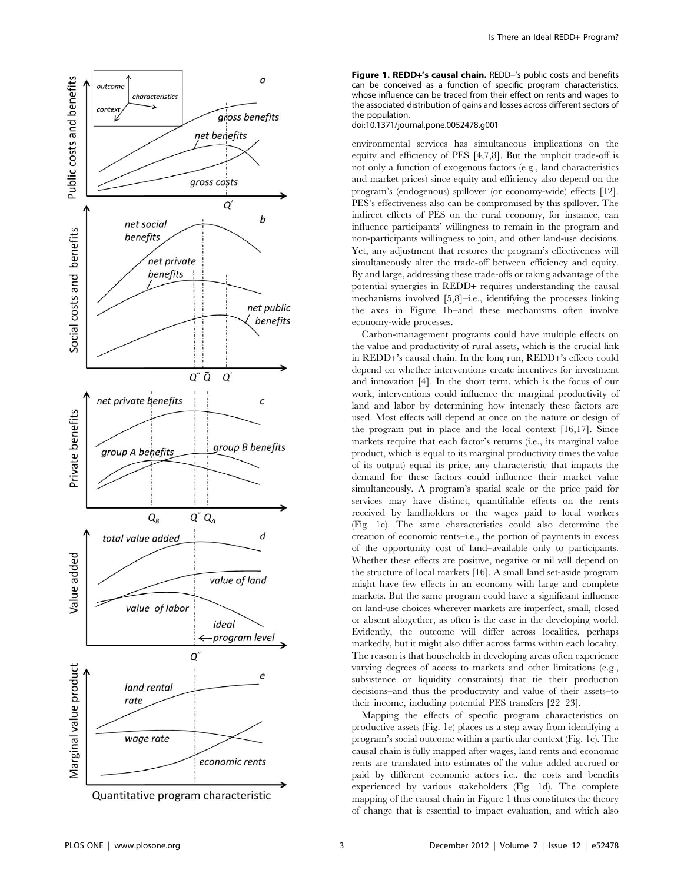

Figure 1. REDD+'s causal chain. REDD+'s public costs and benefits can be conceived as a function of specific program characteristics, whose influence can be traced from their effect on rents and wages to the associated distribution of gains and losses across different sectors of the population.

doi:10.1371/journal.pone.0052478.g001

environmental services has simultaneous implications on the equity and efficiency of PES [4,7,8]. But the implicit trade-off is not only a function of exogenous factors (e.g., land characteristics and market prices) since equity and efficiency also depend on the program's (endogenous) spillover (or economy-wide) effects [12]. PES's effectiveness also can be compromised by this spillover. The indirect effects of PES on the rural economy, for instance, can influence participants' willingness to remain in the program and non-participants willingness to join, and other land-use decisions. Yet, any adjustment that restores the program's effectiveness will simultaneously alter the trade-off between efficiency and equity. By and large, addressing these trade-offs or taking advantage of the potential synergies in REDD+ requires understanding the causal mechanisms involved [5,8]–i.e., identifying the processes linking the axes in Figure 1b–and these mechanisms often involve economy-wide processes.

Carbon-management programs could have multiple effects on the value and productivity of rural assets, which is the crucial link in REDD+'s causal chain. In the long run, REDD+'s effects could depend on whether interventions create incentives for investment and innovation [4]. In the short term, which is the focus of our work, interventions could influence the marginal productivity of land and labor by determining how intensely these factors are used. Most effects will depend at once on the nature or design of the program put in place and the local context [16,17]. Since markets require that each factor's returns (i.e., its marginal value product, which is equal to its marginal productivity times the value of its output) equal its price, any characteristic that impacts the demand for these factors could influence their market value simultaneously. A program's spatial scale or the price paid for services may have distinct, quantifiable effects on the rents received by landholders or the wages paid to local workers (Fig. 1e). The same characteristics could also determine the creation of economic rents–i.e., the portion of payments in excess of the opportunity cost of land–available only to participants. Whether these effects are positive, negative or nil will depend on the structure of local markets [16]. A small land set-aside program might have few effects in an economy with large and complete markets. But the same program could have a significant influence on land-use choices wherever markets are imperfect, small, closed or absent altogether, as often is the case in the developing world. Evidently, the outcome will differ across localities, perhaps markedly, but it might also differ across farms within each locality. The reason is that households in developing areas often experience varying degrees of access to markets and other limitations (e.g., subsistence or liquidity constraints) that tie their production decisions–and thus the productivity and value of their assets–to their income, including potential PES transfers [22–23].

Mapping the effects of specific program characteristics on productive assets (Fig. 1e) places us a step away from identifying a program's social outcome within a particular context (Fig. 1c). The causal chain is fully mapped after wages, land rents and economic rents are translated into estimates of the value added accrued or paid by different economic actors–i.e., the costs and benefits experienced by various stakeholders (Fig. 1d). The complete mapping of the causal chain in Figure 1 thus constitutes the theory of change that is essential to impact evaluation, and which also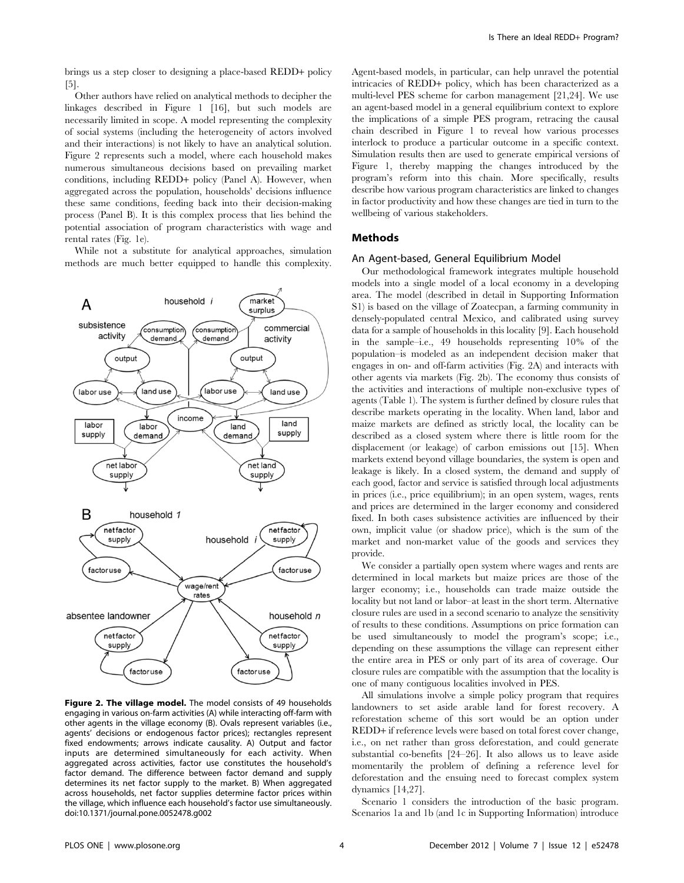brings us a step closer to designing a place-based REDD+ policy [5].

Other authors have relied on analytical methods to decipher the linkages described in Figure 1 [16], but such models are necessarily limited in scope. A model representing the complexity of social systems (including the heterogeneity of actors involved and their interactions) is not likely to have an analytical solution. Figure 2 represents such a model, where each household makes numerous simultaneous decisions based on prevailing market conditions, including REDD+ policy (Panel A). However, when aggregated across the population, households' decisions influence these same conditions, feeding back into their decision-making process (Panel B). It is this complex process that lies behind the potential association of program characteristics with wage and rental rates (Fig. 1e).

While not a substitute for analytical approaches, simulation methods are much better equipped to handle this complexity.



Figure 2. The village model. The model consists of 49 households engaging in various on-farm activities (A) while interacting off-farm with other agents in the village economy (B). Ovals represent variables (i.e., agents' decisions or endogenous factor prices); rectangles represent fixed endowments; arrows indicate causality. A) Output and factor inputs are determined simultaneously for each activity. When aggregated across activities, factor use constitutes the household's factor demand. The difference between factor demand and supply determines its net factor supply to the market. B) When aggregated across households, net factor supplies determine factor prices within the village, which influence each household's factor use simultaneously. doi:10.1371/journal.pone.0052478.g002

Agent-based models, in particular, can help unravel the potential intricacies of REDD+ policy, which has been characterized as a multi-level PES scheme for carbon management [21,24]. We use an agent-based model in a general equilibrium context to explore the implications of a simple PES program, retracing the causal chain described in Figure 1 to reveal how various processes interlock to produce a particular outcome in a specific context. Simulation results then are used to generate empirical versions of Figure 1, thereby mapping the changes introduced by the program's reform into this chain. More specifically, results describe how various program characteristics are linked to changes in factor productivity and how these changes are tied in turn to the wellbeing of various stakeholders.

## Methods

#### An Agent-based, General Equilibrium Model

Our methodological framework integrates multiple household models into a single model of a local economy in a developing area. The model (described in detail in Supporting Information S1) is based on the village of Zoatecpan, a farming community in densely-populated central Mexico, and calibrated using survey data for a sample of households in this locality [9]. Each household in the sample–i.e., 49 households representing 10% of the population–is modeled as an independent decision maker that engages in on- and off-farm activities (Fig. 2A) and interacts with other agents via markets (Fig. 2b). The economy thus consists of the activities and interactions of multiple non-exclusive types of agents (Table 1). The system is further defined by closure rules that describe markets operating in the locality. When land, labor and maize markets are defined as strictly local, the locality can be described as a closed system where there is little room for the displacement (or leakage) of carbon emissions out [15]. When markets extend beyond village boundaries, the system is open and leakage is likely. In a closed system, the demand and supply of each good, factor and service is satisfied through local adjustments in prices (i.e., price equilibrium); in an open system, wages, rents and prices are determined in the larger economy and considered fixed. In both cases subsistence activities are influenced by their own, implicit value (or shadow price), which is the sum of the market and non-market value of the goods and services they provide.

We consider a partially open system where wages and rents are determined in local markets but maize prices are those of the larger economy; i.e., households can trade maize outside the locality but not land or labor–at least in the short term. Alternative closure rules are used in a second scenario to analyze the sensitivity of results to these conditions. Assumptions on price formation can be used simultaneously to model the program's scope; i.e., depending on these assumptions the village can represent either the entire area in PES or only part of its area of coverage. Our closure rules are compatible with the assumption that the locality is one of many contiguous localities involved in PES.

All simulations involve a simple policy program that requires landowners to set aside arable land for forest recovery. A reforestation scheme of this sort would be an option under REDD+ if reference levels were based on total forest cover change, i.e., on net rather than gross deforestation, and could generate substantial co-benefits [24–26]. It also allows us to leave aside momentarily the problem of defining a reference level for deforestation and the ensuing need to forecast complex system dynamics [14,27].

Scenario 1 considers the introduction of the basic program. Scenarios 1a and 1b (and 1c in Supporting Information) introduce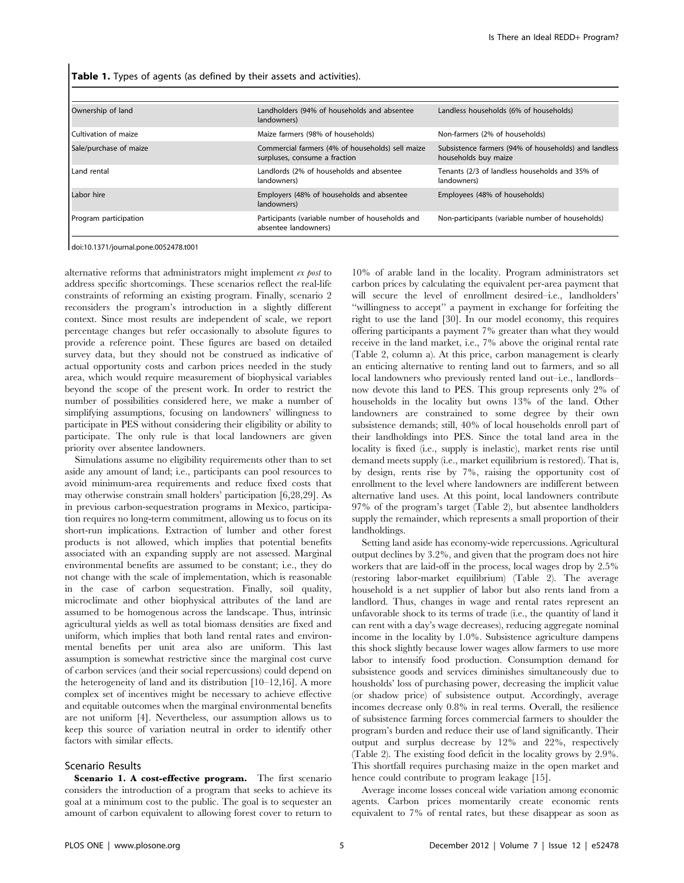Table 1. Types of agents (as defined by their assets and activities).

| Ownership of land      | Landholders (94% of households and absentee<br>landowners)                        | Landless households (6% of households)                                       |
|------------------------|-----------------------------------------------------------------------------------|------------------------------------------------------------------------------|
| Cultivation of maize   | Maize farmers (98% of households)                                                 | Non-farmers (2% of households)                                               |
| Sale/purchase of maize | Commercial farmers (4% of households) sell maize<br>surpluses, consume a fraction | Subsistence farmers (94% of households) and landless<br>households buy maize |
| Land rental            | Landlords (2% of households and absentee<br>landowners)                           | Tenants (2/3 of landless households and 35% of<br>landowners)                |
| Labor hire             | Employers (48% of households and absentee<br>landowners)                          | Employees (48% of households)                                                |
| Program participation  | Participants (variable number of households and<br>absentee landowners)           | Non-participants (variable number of households)                             |
|                        |                                                                                   |                                                                              |

doi:10.1371/journal.pone.0052478.t001

alternative reforms that administrators might implement ex post to address specific shortcomings. These scenarios reflect the real-life constraints of reforming an existing program. Finally, scenario 2 reconsiders the program's introduction in a slightly different context. Since most results are independent of scale, we report percentage changes but refer occasionally to absolute figures to provide a reference point. These figures are based on detailed survey data, but they should not be construed as indicative of actual opportunity costs and carbon prices needed in the study area, which would require measurement of biophysical variables beyond the scope of the present work. In order to restrict the number of possibilities considered here, we make a number of simplifying assumptions, focusing on landowners' willingness to participate in PES without considering their eligibility or ability to participate. The only rule is that local landowners are given priority over absentee landowners.

Simulations assume no eligibility requirements other than to set aside any amount of land; i.e., participants can pool resources to avoid minimum-area requirements and reduce fixed costs that may otherwise constrain small holders' participation [6,28,29]. As in previous carbon-sequestration programs in Mexico, participation requires no long-term commitment, allowing us to focus on its short-run implications. Extraction of lumber and other forest products is not allowed, which implies that potential benefits associated with an expanding supply are not assessed. Marginal environmental benefits are assumed to be constant; i.e., they do not change with the scale of implementation, which is reasonable in the case of carbon sequestration. Finally, soil quality, microclimate and other biophysical attributes of the land are assumed to be homogenous across the landscape. Thus, intrinsic agricultural yields as well as total biomass densities are fixed and uniform, which implies that both land rental rates and environmental benefits per unit area also are uniform. This last assumption is somewhat restrictive since the marginal cost curve of carbon services (and their social repercussions) could depend on the heterogeneity of land and its distribution [10–12,16]. A more complex set of incentives might be necessary to achieve effective and equitable outcomes when the marginal environmental benefits are not uniform [4]. Nevertheless, our assumption allows us to keep this source of variation neutral in order to identify other factors with similar effects.

## Scenario Results

Scenario 1. A cost-effective program. The first scenario considers the introduction of a program that seeks to achieve its goal at a minimum cost to the public. The goal is to sequester an amount of carbon equivalent to allowing forest cover to return to

10% of arable land in the locality. Program administrators set carbon prices by calculating the equivalent per-area payment that will secure the level of enrollment desired–i.e., landholders' ''willingness to accept'' a payment in exchange for forfeiting the right to use the land [30]. In our model economy, this requires offering participants a payment 7% greater than what they would receive in the land market, i.e., 7% above the original rental rate (Table 2, column a). At this price, carbon management is clearly an enticing alternative to renting land out to farmers, and so all local landowners who previously rented land out–i.e., landlords– now devote this land to PES. This group represents only 2% of households in the locality but owns 13% of the land. Other landowners are constrained to some degree by their own subsistence demands; still, 40% of local households enroll part of their landholdings into PES. Since the total land area in the locality is fixed (i.e., supply is inelastic), market rents rise until demand meets supply (i.e., market equilibrium is restored). That is, by design, rents rise by 7%, raising the opportunity cost of enrollment to the level where landowners are indifferent between alternative land uses. At this point, local landowners contribute 97% of the program's target (Table 2), but absentee landholders supply the remainder, which represents a small proportion of their landholdings.

Setting land aside has economy-wide repercussions. Agricultural output declines by 3.2%, and given that the program does not hire workers that are laid-off in the process, local wages drop by 2.5% (restoring labor-market equilibrium) (Table 2). The average household is a net supplier of labor but also rents land from a landlord. Thus, changes in wage and rental rates represent an unfavorable shock to its terms of trade (i.e., the quantity of land it can rent with a day's wage decreases), reducing aggregate nominal income in the locality by 1.0%. Subsistence agriculture dampens this shock slightly because lower wages allow farmers to use more labor to intensify food production. Consumption demand for subsistence goods and services diminishes simultaneously due to housholds' loss of purchasing power, decreasing the implicit value (or shadow price) of subsistence output. Accordingly, average incomes decrease only 0.8% in real terms. Overall, the resilience of subsistence farming forces commercial farmers to shoulder the program's burden and reduce their use of land significantly. Their output and surplus decrease by 12% and 22%, respectively (Table 2). The existing food deficit in the locality grows by 2.9%. This shortfall requires purchasing maize in the open market and hence could contribute to program leakage [15].

Average income losses conceal wide variation among economic agents. Carbon prices momentarily create economic rents equivalent to 7% of rental rates, but these disappear as soon as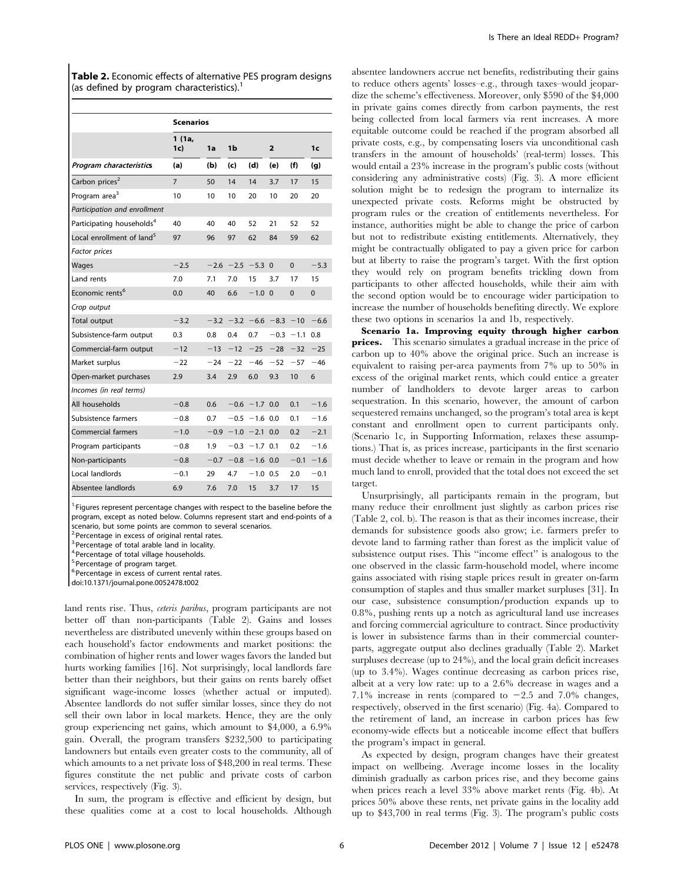Table 2. Economic effects of alternative PES program designs (as defined by program characteristics).<sup>1</sup>

|                                       | <b>Scenarios</b> |        |                        |                  |                |             |              |  |  |
|---------------------------------------|------------------|--------|------------------------|------------------|----------------|-------------|--------------|--|--|
|                                       | 1(1a,<br>1c)     | 1a     | 1b                     |                  | $\overline{2}$ |             | 1c           |  |  |
| Program characteristics               | (a)              | (b)    | (c)                    | (d)              | (e)            | (f)         | (g)          |  |  |
| Carbon prices <sup>2</sup>            | $\overline{7}$   | 50     | 14                     | 14               | 3.7            | 17          | 15           |  |  |
| Program area <sup>3</sup>             | 10               | 10     | 10                     | 20               | 10             | 20          | 20           |  |  |
| Participation and enrollment          |                  |        |                        |                  |                |             |              |  |  |
| Participating households <sup>4</sup> | 40               | 40     | 40                     | 52               | 21             | 52          | 52           |  |  |
| Local enrollment of land <sup>5</sup> | 97               | 96     | 97                     | 62               | 84             | 59          | 62           |  |  |
| <b>Factor prices</b>                  |                  |        |                        |                  |                |             |              |  |  |
| Wages                                 | $-2.5$           |        | $-2.6$ $-2.5$ $-5.3$ 0 |                  |                | $\Omega$    | $-5.3$       |  |  |
| Land rents                            | 7.0              | 7.1    | 7.0                    | 15               | 3.7            | 17          | 15           |  |  |
| Economic rents <sup>6</sup>           | 0.0              | 40     | 6.6                    | $-1.0$ 0         |                | 0           | $\mathbf{0}$ |  |  |
| Crop output                           |                  |        |                        |                  |                |             |              |  |  |
| <b>Total output</b>                   | $-3.2$           | $-3.2$ |                        | $-3.2 -6.6 -8.3$ |                | $-10$       | $-6.6$       |  |  |
| Subsistence-farm output               | 0.3              | 0.8    | 0.4                    | 0.7              |                | $-0.3 -1.1$ | 0.8          |  |  |
| Commercial-farm output                | $-12$            | $-13$  |                        | $-12 -25$        | $-28$          | $-32$       | $-25$        |  |  |
| Market surplus                        | $-22$            | $-24$  | $-22$                  | $-46$            | $-52$          | $-57$       | $-46$        |  |  |
| Open-market purchases                 | 2.9              | 3.4    | 2.9                    | 6.0              | 9.3            | 10          | 6            |  |  |
| Incomes (in real terms)               |                  |        |                        |                  |                |             |              |  |  |
| All households                        | $-0.8$           | 0.6    |                        | $-0.6 -1.7 0.0$  |                | 0.1         | $-1.6$       |  |  |
| Subsistence farmers                   | $-0.8$           | 0.7    |                        | $-0.5 -1.6 0.0$  |                | 0.1         | $-1.6$       |  |  |
| <b>Commercial farmers</b>             | $-1.0$           | $-0.9$ |                        | $-1.0 -2.1$      | 0.0            | 0.2         | $-2.1$       |  |  |
| Program participants                  | $-0.8$           | 1.9    |                        | $-0.3 -1.7 0.1$  |                | 0.2         | $-1.6$       |  |  |
| Non-participants                      | $-0.8$           | $-0.7$ |                        | $-0.8 - 1.6$ 0.0 |                | $-0.1$      | $-1.6$       |  |  |
| Local landlords                       | $-0.1$           | 29     | 4.7                    | $-1.0$ 0.5       |                | 2.0         | $-0.1$       |  |  |
| Absentee landlords                    | 6.9              | 7.6    | 7.0                    | 15               | 3.7            | 17          | 15           |  |  |

<sup>1.</sup>Figures represent percentage changes with respect to the baseline before the program, except as noted below. Columns represent start and end-points of a scenario, but some points are common to several scenarios.

<sup>2.</sup>Percentage in excess of original rental rates.

<sup>3</sup> Percentage of total arable land in locality.

<sup>4</sup>Percentage of total village households.

<sup>5.</sup>Percentage of program target.

6.Percentage in excess of current rental rates.

doi:10.1371/journal.pone.0052478.t002

land rents rise. Thus, ceteris paribus, program participants are not better off than non-participants (Table 2). Gains and losses nevertheless are distributed unevenly within these groups based on each household's factor endowments and market positions: the combination of higher rents and lower wages favors the landed but hurts working families [16]. Not surprisingly, local landlords fare better than their neighbors, but their gains on rents barely offset significant wage-income losses (whether actual or imputed). Absentee landlords do not suffer similar losses, since they do not sell their own labor in local markets. Hence, they are the only group experiencing net gains, which amount to \$4,000, a 6.9% gain. Overall, the program transfers \$232,500 to participating landowners but entails even greater costs to the community, all of which amounts to a net private loss of \$48,200 in real terms. These figures constitute the net public and private costs of carbon services, respectively (Fig. 3).

In sum, the program is effective and efficient by design, but these qualities come at a cost to local households. Although absentee landowners accrue net benefits, redistributing their gains to reduce others agents' losses–e.g., through taxes–would jeopardize the scheme's effectiveness. Moreover, only \$590 of the \$4,000 in private gains comes directly from carbon payments, the rest being collected from local farmers via rent increases. A more equitable outcome could be reached if the program absorbed all private costs, e.g., by compensating losers via unconditional cash transfers in the amount of households' (real-term) losses. This would entail a 23% increase in the program's public costs (without considering any administrative costs) (Fig. 3). A more efficient solution might be to redesign the program to internalize its unexpected private costs. Reforms might be obstructed by program rules or the creation of entitlements nevertheless. For instance, authorities might be able to change the price of carbon but not to redistribute existing entitlements. Alternatively, they might be contractually obligated to pay a given price for carbon but at liberty to raise the program's target. With the first option they would rely on program benefits trickling down from participants to other affected households, while their aim with the second option would be to encourage wider participation to increase the number of households benefiting directly. We explore these two options in scenarios 1a and 1b, respectively.

Scenario 1a. Improving equity through higher carbon prices. This scenario simulates a gradual increase in the price of carbon up to 40% above the original price. Such an increase is equivalent to raising per-area payments from 7% up to 50% in excess of the original market rents, which could entice a greater number of landholders to devote larger areas to carbon sequestration. In this scenario, however, the amount of carbon sequestered remains unchanged, so the program's total area is kept constant and enrollment open to current participants only. (Scenario 1c, in Supporting Information, relaxes these assumptions.) That is, as prices increase, participants in the first scenario must decide whether to leave or remain in the program and how much land to enroll, provided that the total does not exceed the set target.

Unsurprisingly, all participants remain in the program, but many reduce their enrollment just slightly as carbon prices rise (Table 2, col. b). The reason is that as their incomes increase, their demands for subsistence goods also grow; i.e. farmers prefer to devote land to farming rather than forest as the implicit value of subsistence output rises. This ''income effect'' is analogous to the one observed in the classic farm-household model, where income gains associated with rising staple prices result in greater on-farm consumption of staples and thus smaller market surpluses [31]. In our case, subsistence consumption/production expands up to 0.8%, pushing rents up a notch as agricultural land use increases and forcing commercial agriculture to contract. Since productivity is lower in subsistence farms than in their commercial counterparts, aggregate output also declines gradually (Table 2). Market surpluses decrease (up to 24%), and the local grain deficit increases (up to 3.4%). Wages continue decreasing as carbon prices rise, albeit at a very low rate: up to a 2.6% decrease in wages and a 7.1% increase in rents (compared to  $-2.5$  and 7.0% changes, respectively, observed in the first scenario) (Fig. 4a). Compared to the retirement of land, an increase in carbon prices has few economy-wide effects but a noticeable income effect that buffers the program's impact in general.

As expected by design, program changes have their greatest impact on wellbeing. Average income losses in the locality diminish gradually as carbon prices rise, and they become gains when prices reach a level 33% above market rents (Fig. 4b). At prices 50% above these rents, net private gains in the locality add up to \$43,700 in real terms (Fig. 3). The program's public costs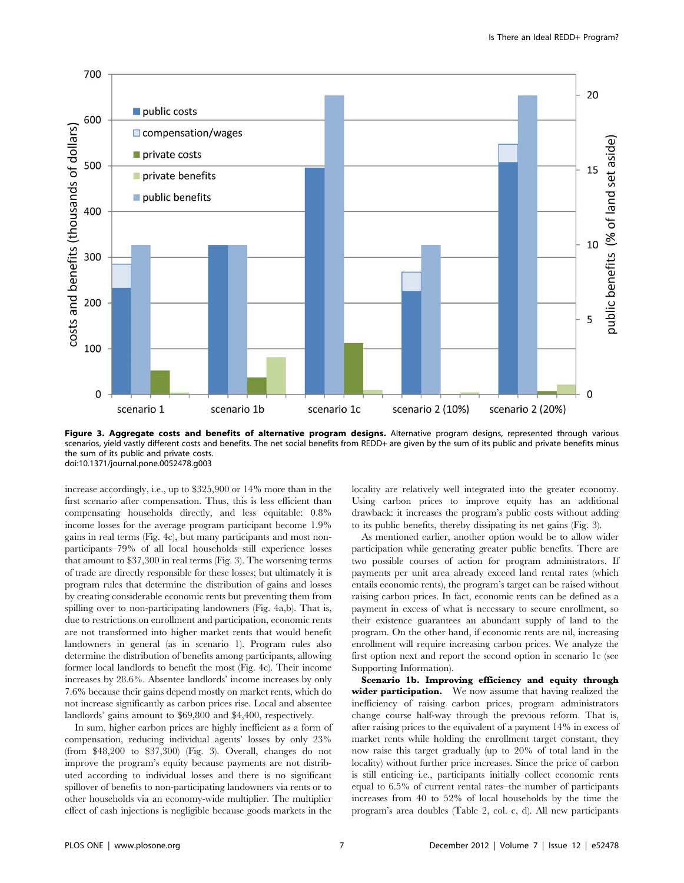

Figure 3. Aggregate costs and benefits of alternative program designs. Alternative program designs, represented through various scenarios, yield vastly different costs and benefits. The net social benefits from REDD+ are given by the sum of its public and private benefits minus the sum of its public and private costs. doi:10.1371/journal.pone.0052478.g003

increase accordingly, i.e., up to \$325,900 or 14% more than in the first scenario after compensation. Thus, this is less efficient than compensating households directly, and less equitable: 0.8% income losses for the average program participant become 1.9% gains in real terms (Fig. 4c), but many participants and most nonparticipants–79% of all local households–still experience losses that amount to \$37,300 in real terms (Fig. 3). The worsening terms of trade are directly responsible for these losses; but ultimately it is program rules that determine the distribution of gains and losses by creating considerable economic rents but preventing them from spilling over to non-participating landowners (Fig. 4a,b). That is, due to restrictions on enrollment and participation, economic rents are not transformed into higher market rents that would benefit landowners in general (as in scenario 1). Program rules also determine the distribution of benefits among participants, allowing former local landlords to benefit the most (Fig. 4c). Their income increases by 28.6%. Absentee landlords' income increases by only 7.6% because their gains depend mostly on market rents, which do not increase significantly as carbon prices rise. Local and absentee landlords' gains amount to \$69,800 and \$4,400, respectively.

In sum, higher carbon prices are highly inefficient as a form of compensation, reducing individual agents' losses by only 23% (from \$48,200 to \$37,300) (Fig. 3). Overall, changes do not improve the program's equity because payments are not distributed according to individual losses and there is no significant spillover of benefits to non-participating landowners via rents or to other households via an economy-wide multiplier. The multiplier effect of cash injections is negligible because goods markets in the

locality are relatively well integrated into the greater economy. Using carbon prices to improve equity has an additional drawback: it increases the program's public costs without adding to its public benefits, thereby dissipating its net gains (Fig. 3).

As mentioned earlier, another option would be to allow wider participation while generating greater public benefits. There are two possible courses of action for program administrators. If payments per unit area already exceed land rental rates (which entails economic rents), the program's target can be raised without raising carbon prices. In fact, economic rents can be defined as a payment in excess of what is necessary to secure enrollment, so their existence guarantees an abundant supply of land to the program. On the other hand, if economic rents are nil, increasing enrollment will require increasing carbon prices. We analyze the first option next and report the second option in scenario 1c (see Supporting Information).

Scenario 1b. Improving efficiency and equity through wider participation. We now assume that having realized the inefficiency of raising carbon prices, program administrators change course half-way through the previous reform. That is, after raising prices to the equivalent of a payment 14% in excess of market rents while holding the enrollment target constant, they now raise this target gradually (up to 20% of total land in the locality) without further price increases. Since the price of carbon is still enticing–i.e., participants initially collect economic rents equal to 6.5% of current rental rates–the number of participants increases from 40 to 52% of local households by the time the program's area doubles (Table 2, col. c, d). All new participants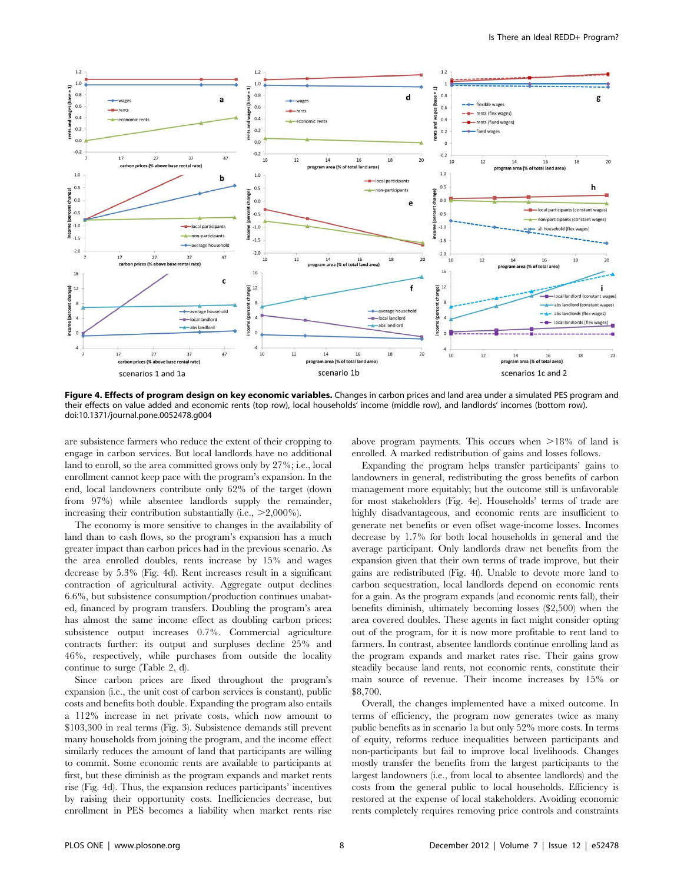

Figure 4. Effects of program design on key economic variables. Changes in carbon prices and land area under a simulated PES program and their effects on value added and economic rents (top row), local households' income (middle row), and landlords' incomes (bottom row). doi:10.1371/journal.pone.0052478.g004

are subsistence farmers who reduce the extent of their cropping to engage in carbon services. But local landlords have no additional land to enroll, so the area committed grows only by 27%; i.e., local enrollment cannot keep pace with the program's expansion. In the end, local landowners contribute only 62% of the target (down from 97%) while absentee landlords supply the remainder, increasing their contribution substantially (i.e.,  $\geq 2,000\%$ ).

The economy is more sensitive to changes in the availability of land than to cash flows, so the program's expansion has a much greater impact than carbon prices had in the previous scenario. As the area enrolled doubles, rents increase by 15% and wages decrease by 5.3% (Fig. 4d). Rent increases result in a significant contraction of agricultural activity. Aggregate output declines 6.6%, but subsistence consumption/production continues unabated, financed by program transfers. Doubling the program's area has almost the same income effect as doubling carbon prices: subsistence output increases 0.7%. Commercial agriculture contracts further: its output and surpluses decline 25% and 46%, respectively, while purchases from outside the locality continue to surge (Table 2, d).

Since carbon prices are fixed throughout the program's expansion (i.e., the unit cost of carbon services is constant), public costs and benefits both double. Expanding the program also entails a 112% increase in net private costs, which now amount to \$103,300 in real terms (Fig. 3). Subsistence demands still prevent many households from joining the program, and the income effect similarly reduces the amount of land that participants are willing to commit. Some economic rents are available to participants at first, but these diminish as the program expands and market rents rise (Fig. 4d). Thus, the expansion reduces participants' incentives by raising their opportunity costs. Inefficiencies decrease, but enrollment in PES becomes a liability when market rents rise above program payments. This occurs when  $>18\%$  of land is enrolled. A marked redistribution of gains and losses follows.

Expanding the program helps transfer participants' gains to landowners in general, redistributing the gross benefits of carbon management more equitably; but the outcome still is unfavorable for most stakeholders (Fig. 4e). Households' terms of trade are highly disadvantageous, and economic rents are insufficient to generate net benefits or even offset wage-income losses. Incomes decrease by 1.7% for both local households in general and the average participant. Only landlords draw net benefits from the expansion given that their own terms of trade improve, but their gains are redistributed (Fig. 4f). Unable to devote more land to carbon sequestration, local landlords depend on economic rents for a gain. As the program expands (and economic rents fall), their benefits diminish, ultimately becoming losses (\$2,500) when the area covered doubles. These agents in fact might consider opting out of the program, for it is now more profitable to rent land to farmers. In contrast, absentee landlords continue enrolling land as the program expands and market rates rise. Their gains grow steadily because land rents, not economic rents, constitute their main source of revenue. Their income increases by 15% or \$8,700.

Overall, the changes implemented have a mixed outcome. In terms of efficiency, the program now generates twice as many public benefits as in scenario 1a but only 52% more costs. In terms of equity, reforms reduce inequalities between participants and non-participants but fail to improve local livelihoods. Changes mostly transfer the benefits from the largest participants to the largest landowners (i.e., from local to absentee landlords) and the costs from the general public to local households. Efficiency is restored at the expense of local stakeholders. Avoiding economic rents completely requires removing price controls and constraints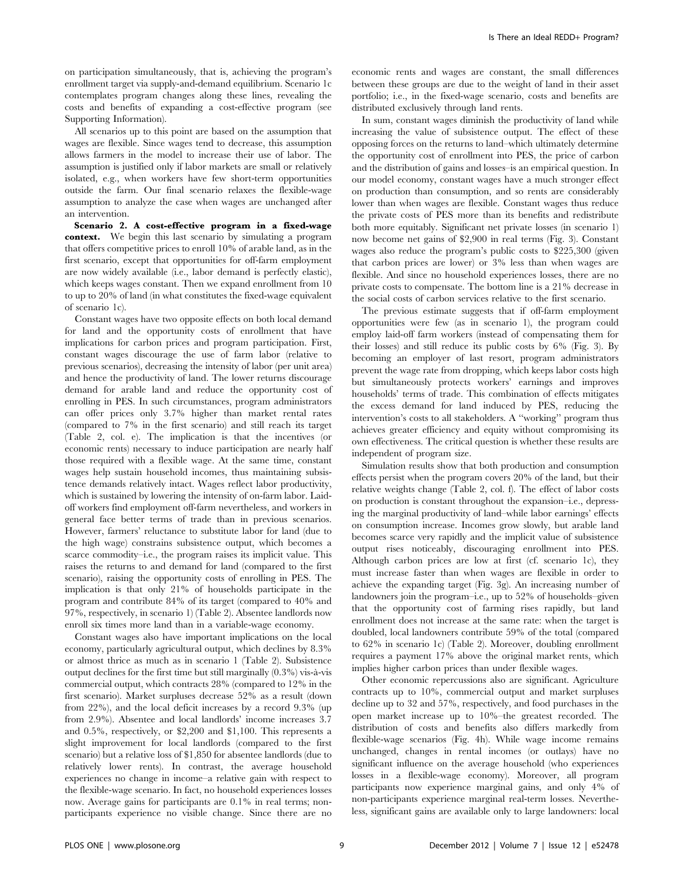on participation simultaneously, that is, achieving the program's enrollment target via supply-and-demand equilibrium. Scenario 1c contemplates program changes along these lines, revealing the costs and benefits of expanding a cost-effective program (see Supporting Information).

All scenarios up to this point are based on the assumption that wages are flexible. Since wages tend to decrease, this assumption allows farmers in the model to increase their use of labor. The assumption is justified only if labor markets are small or relatively isolated, e.g., when workers have few short-term opportunities outside the farm. Our final scenario relaxes the flexible-wage assumption to analyze the case when wages are unchanged after an intervention.

Scenario 2. A cost-effective program in a fixed-wage context. We begin this last scenario by simulating a program that offers competitive prices to enroll 10% of arable land, as in the first scenario, except that opportunities for off-farm employment are now widely available (i.e., labor demand is perfectly elastic), which keeps wages constant. Then we expand enrollment from 10 to up to 20% of land (in what constitutes the fixed-wage equivalent of scenario 1c).

Constant wages have two opposite effects on both local demand for land and the opportunity costs of enrollment that have implications for carbon prices and program participation. First, constant wages discourage the use of farm labor (relative to previous scenarios), decreasing the intensity of labor (per unit area) and hence the productivity of land. The lower returns discourage demand for arable land and reduce the opportunity cost of enrolling in PES. In such circumstances, program administrators can offer prices only 3.7% higher than market rental rates (compared to 7% in the first scenario) and still reach its target (Table 2, col. e). The implication is that the incentives (or economic rents) necessary to induce participation are nearly half those required with a flexible wage. At the same time, constant wages help sustain household incomes, thus maintaining subsistence demands relatively intact. Wages reflect labor productivity, which is sustained by lowering the intensity of on-farm labor. Laidoff workers find employment off-farm nevertheless, and workers in general face better terms of trade than in previous scenarios. However, farmers' reluctance to substitute labor for land (due to the high wage) constrains subsistence output, which becomes a scarce commodity–i.e., the program raises its implicit value. This raises the returns to and demand for land (compared to the first scenario), raising the opportunity costs of enrolling in PES. The implication is that only 21% of households participate in the program and contribute 84% of its target (compared to 40% and 97%, respectively, in scenario 1) (Table 2). Absentee landlords now enroll six times more land than in a variable-wage economy.

Constant wages also have important implications on the local economy, particularly agricultural output, which declines by 8.3% or almost thrice as much as in scenario 1 (Table 2). Subsistence output declines for the first time but still marginally  $(0.3\%)$  vis-à-vis commercial output, which contracts 28% (compared to 12% in the first scenario). Market surpluses decrease 52% as a result (down from 22%), and the local deficit increases by a record 9.3% (up from 2.9%). Absentee and local landlords' income increases 3.7 and 0.5%, respectively, or \$2,200 and \$1,100. This represents a slight improvement for local landlords (compared to the first scenario) but a relative loss of \$1,850 for absentee landlords (due to relatively lower rents). In contrast, the average household experiences no change in income–a relative gain with respect to the flexible-wage scenario. In fact, no household experiences losses now. Average gains for participants are 0.1% in real terms; nonparticipants experience no visible change. Since there are no economic rents and wages are constant, the small differences between these groups are due to the weight of land in their asset portfolio; i.e., in the fixed-wage scenario, costs and benefits are distributed exclusively through land rents.

In sum, constant wages diminish the productivity of land while increasing the value of subsistence output. The effect of these opposing forces on the returns to land–which ultimately determine the opportunity cost of enrollment into PES, the price of carbon and the distribution of gains and losses–is an empirical question. In our model economy, constant wages have a much stronger effect on production than consumption, and so rents are considerably lower than when wages are flexible. Constant wages thus reduce the private costs of PES more than its benefits and redistribute both more equitably. Significant net private losses (in scenario 1) now become net gains of \$2,900 in real terms (Fig. 3). Constant wages also reduce the program's public costs to \$225,300 (given that carbon prices are lower) or 3% less than when wages are flexible. And since no household experiences losses, there are no private costs to compensate. The bottom line is a 21% decrease in the social costs of carbon services relative to the first scenario.

The previous estimate suggests that if off-farm employment opportunities were few (as in scenario 1), the program could employ laid-off farm workers (instead of compensating them for their losses) and still reduce its public costs by 6% (Fig. 3). By becoming an employer of last resort, program administrators prevent the wage rate from dropping, which keeps labor costs high but simultaneously protects workers' earnings and improves households' terms of trade. This combination of effects mitigates the excess demand for land induced by PES, reducing the intervention's costs to all stakeholders. A ''working'' program thus achieves greater efficiency and equity without compromising its own effectiveness. The critical question is whether these results are independent of program size.

Simulation results show that both production and consumption effects persist when the program covers 20% of the land, but their relative weights change (Table 2, col. f). The effect of labor costs on production is constant throughout the expansion–i.e., depressing the marginal productivity of land–while labor earnings' effects on consumption increase. Incomes grow slowly, but arable land becomes scarce very rapidly and the implicit value of subsistence output rises noticeably, discouraging enrollment into PES. Although carbon prices are low at first (cf. scenario 1c), they must increase faster than when wages are flexible in order to achieve the expanding target (Fig. 3g). An increasing number of landowners join the program–i.e., up to 52% of households–given that the opportunity cost of farming rises rapidly, but land enrollment does not increase at the same rate: when the target is doubled, local landowners contribute 59% of the total (compared to 62% in scenario 1c) (Table 2). Moreover, doubling enrollment requires a payment 17% above the original market rents, which implies higher carbon prices than under flexible wages.

Other economic repercussions also are significant. Agriculture contracts up to 10%, commercial output and market surpluses decline up to 32 and 57%, respectively, and food purchases in the open market increase up to 10%–the greatest recorded. The distribution of costs and benefits also differs markedly from flexible-wage scenarios (Fig. 4h). While wage income remains unchanged, changes in rental incomes (or outlays) have no significant influence on the average household (who experiences losses in a flexible-wage economy). Moreover, all program participants now experience marginal gains, and only 4% of non-participants experience marginal real-term losses. Nevertheless, significant gains are available only to large landowners: local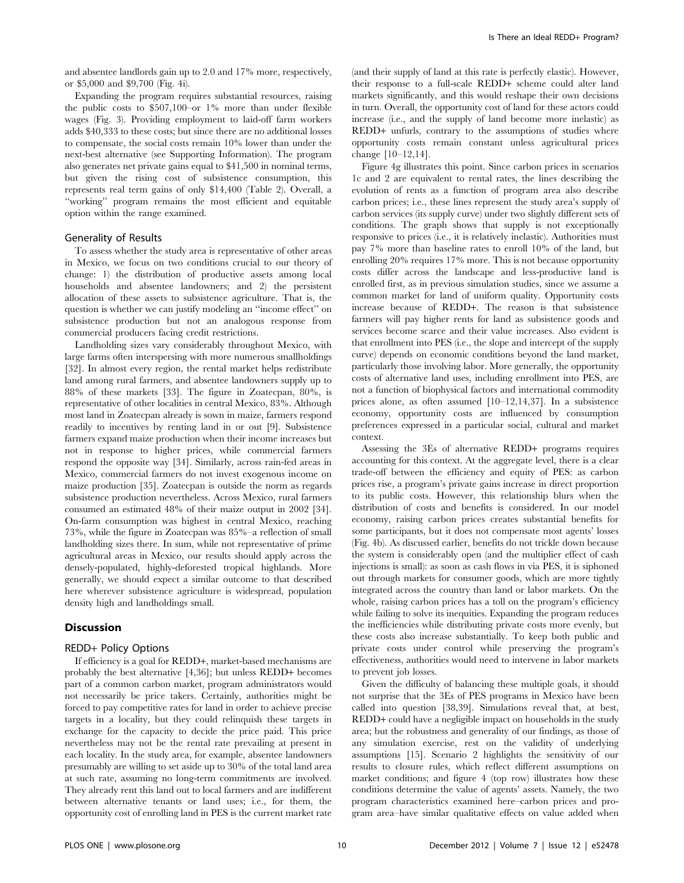and absentee landlords gain up to 2.0 and 17% more, respectively, or \$5,000 and \$9,700 (Fig. 4i).

Expanding the program requires substantial resources, raising the public costs to \$507,100–or 1% more than under flexible wages (Fig. 3). Providing employment to laid-off farm workers adds \$40,333 to these costs; but since there are no additional losses to compensate, the social costs remain 10% lower than under the next-best alternative (see Supporting Information). The program also generates net private gains equal to \$41,500 in nominal terms, but given the rising cost of subsistence consumption, this represents real term gains of only \$14,400 (Table 2). Overall, a ''working'' program remains the most efficient and equitable option within the range examined.

#### Generality of Results

To assess whether the study area is representative of other areas in Mexico, we focus on two conditions crucial to our theory of change: 1) the distribution of productive assets among local households and absentee landowners; and 2) the persistent allocation of these assets to subsistence agriculture. That is, the question is whether we can justify modeling an ''income effect'' on subsistence production but not an analogous response from commercial producers facing credit restrictions.

Landholding sizes vary considerably throughout Mexico, with large farms often interspersing with more numerous smallholdings [32]. In almost every region, the rental market helps redistribute land among rural farmers, and absentee landowners supply up to 88% of these markets [33]. The figure in Zoatecpan, 80%, is representative of other localities in central Mexico, 83%. Although most land in Zoatecpan already is sown in maize, farmers respond readily to incentives by renting land in or out [9]. Subsistence farmers expand maize production when their income increases but not in response to higher prices, while commercial farmers respond the opposite way [34]. Similarly, across rain-fed areas in Mexico, commercial farmers do not invest exogenous income on maize production [35]. Zoatecpan is outside the norm as regards subsistence production nevertheless. Across Mexico, rural farmers consumed an estimated 48% of their maize output in 2002 [34]. On-farm consumption was highest in central Mexico, reaching 73%, while the figure in Zoatecpan was 85%–a reflection of small landholding sizes there. In sum, while not representative of prime agricultural areas in Mexico, our results should apply across the densely-populated, highly-deforested tropical highlands. More generally, we should expect a similar outcome to that described here wherever subsistence agriculture is widespread, population density high and landholdings small.

# Discussion

#### REDD+ Policy Options

If efficiency is a goal for REDD+, market-based mechanisms are probably the best alternative [4,36]; but unless REDD+ becomes part of a common carbon market, program administrators would not necessarily be price takers. Certainly, authorities might be forced to pay competitive rates for land in order to achieve precise targets in a locality, but they could relinquish these targets in exchange for the capacity to decide the price paid. This price nevertheless may not be the rental rate prevailing at present in each locality. In the study area, for example, absentee landowners presumably are willing to set aside up to 30% of the total land area at such rate, assuming no long-term commitments are involved. They already rent this land out to local farmers and are indifferent between alternative tenants or land uses; i.e., for them, the opportunity cost of enrolling land in PES is the current market rate

(and their supply of land at this rate is perfectly elastic). However, their response to a full-scale REDD+ scheme could alter land markets significantly, and this would reshape their own decisions in turn. Overall, the opportunity cost of land for these actors could increase (i.e., and the supply of land become more inelastic) as REDD+ unfurls, contrary to the assumptions of studies where opportunity costs remain constant unless agricultural prices change [10–12,14].

Figure 4g illustrates this point. Since carbon prices in scenarios 1c and 2 are equivalent to rental rates, the lines describing the evolution of rents as a function of program area also describe carbon prices; i.e., these lines represent the study area's supply of carbon services (its supply curve) under two slightly different sets of conditions. The graph shows that supply is not exceptionally responsive to prices (i.e., it is relatively inelastic). Authorities must pay 7% more than baseline rates to enroll 10% of the land, but enrolling 20% requires 17% more. This is not because opportunity costs differ across the landscape and less-productive land is enrolled first, as in previous simulation studies, since we assume a common market for land of uniform quality. Opportunity costs increase because of REDD+. The reason is that subsistence farmers will pay higher rents for land as subsistence goods and services become scarce and their value increases. Also evident is that enrollment into PES (i.e., the slope and intercept of the supply curve) depends on economic conditions beyond the land market, particularly those involving labor. More generally, the opportunity costs of alternative land uses, including enrollment into PES, are not a function of biophysical factors and international commodity prices alone, as often assumed [10–12,14,37]. In a subsistence economy, opportunity costs are influenced by consumption preferences expressed in a particular social, cultural and market context.

Assessing the 3Es of alternative REDD+ programs requires accounting for this context. At the aggregate level, there is a clear trade-off between the efficiency and equity of PES: as carbon prices rise, a program's private gains increase in direct proportion to its public costs. However, this relationship blurs when the distribution of costs and benefits is considered. In our model economy, raising carbon prices creates substantial benefits for some participants, but it does not compensate most agents' losses (Fig. 4b). As discussed earlier, benefits do not trickle down because the system is considerably open (and the multiplier effect of cash injections is small): as soon as cash flows in via PES, it is siphoned out through markets for consumer goods, which are more tightly integrated across the country than land or labor markets. On the whole, raising carbon prices has a toll on the program's efficiency while failing to solve its inequities. Expanding the program reduces the inefficiencies while distributing private costs more evenly, but these costs also increase substantially. To keep both public and private costs under control while preserving the program's effectiveness, authorities would need to intervene in labor markets to prevent job losses.

Given the difficulty of balancing these multiple goals, it should not surprise that the 3Es of PES programs in Mexico have been called into question [38,39]. Simulations reveal that, at best, REDD+ could have a negligible impact on households in the study area; but the robustness and generality of our findings, as those of any simulation exercise, rest on the validity of underlying assumptions [15]. Scenario 2 highlights the sensitivity of our results to closure rules, which reflect different assumptions on market conditions; and figure 4 (top row) illustrates how these conditions determine the value of agents' assets. Namely, the two program characteristics examined here–carbon prices and program area–have similar qualitative effects on value added when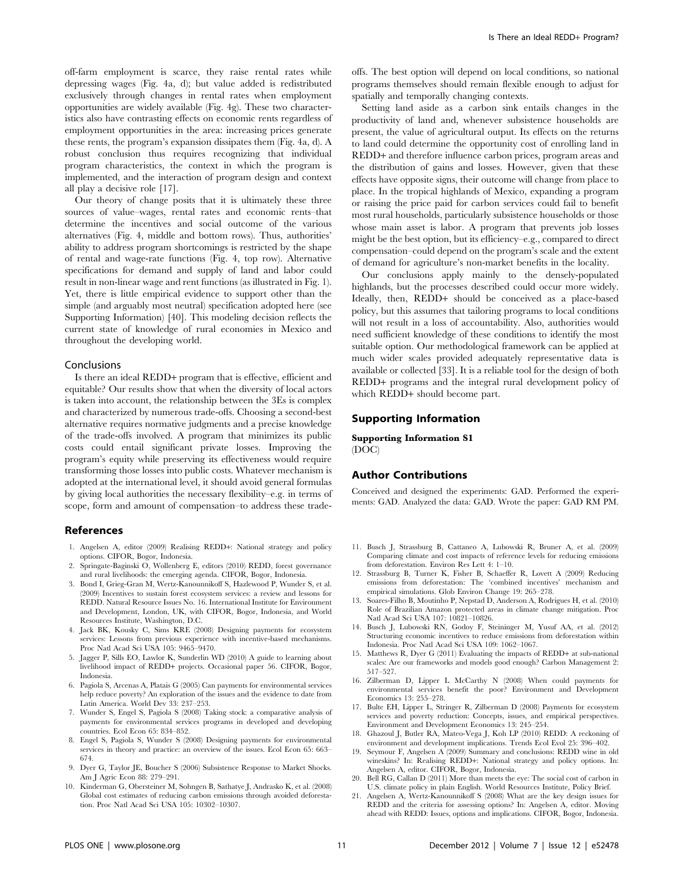off-farm employment is scarce, they raise rental rates while depressing wages (Fig. 4a, d); but value added is redistributed exclusively through changes in rental rates when employment opportunities are widely available (Fig. 4g). These two characteristics also have contrasting effects on economic rents regardless of employment opportunities in the area: increasing prices generate these rents, the program's expansion dissipates them (Fig. 4a, d). A robust conclusion thus requires recognizing that individual program characteristics, the context in which the program is implemented, and the interaction of program design and context all play a decisive role [17].

Our theory of change posits that it is ultimately these three sources of value–wages, rental rates and economic rents–that determine the incentives and social outcome of the various alternatives (Fig. 4, middle and bottom rows). Thus, authorities' ability to address program shortcomings is restricted by the shape of rental and wage-rate functions (Fig. 4, top row). Alternative specifications for demand and supply of land and labor could result in non-linear wage and rent functions (as illustrated in Fig. 1). Yet, there is little empirical evidence to support other than the simple (and arguably most neutral) specification adopted here (see Supporting Information) [40]. This modeling decision reflects the current state of knowledge of rural economies in Mexico and throughout the developing world.

#### Conclusions

Is there an ideal REDD+ program that is effective, efficient and equitable? Our results show that when the diversity of local actors is taken into account, the relationship between the 3Es is complex and characterized by numerous trade-offs. Choosing a second-best alternative requires normative judgments and a precise knowledge of the trade-offs involved. A program that minimizes its public costs could entail significant private losses. Improving the program's equity while preserving its effectiveness would require transforming those losses into public costs. Whatever mechanism is adopted at the international level, it should avoid general formulas by giving local authorities the necessary flexibility–e.g. in terms of scope, form and amount of compensation–to address these trade-

# References

- 1. Angelsen A, editor (2009) Realising REDD+: National strategy and policy options. CIFOR, Bogor, Indonesia.
- 2. Springate-Baginski O, Wollenberg E, editors (2010) REDD, forest governance and rural livelihoods: the emerging agenda. CIFOR, Bogor, Indonesia.
- 3. Bond I, Grieg-Gran M, Wertz-Kanounnikoff S, Hazlewood P, Wunder S, et al. (2009) Incentives to sustain forest ecosystem services: a review and lessons for REDD. Natural Resource Issues No. 16. International Institute for Environment and Development, London, UK, with CIFOR, Bogor, Indonesia, and World Resources Institute, Washington, D.C.
- 4. Jack BK, Kousky C, Sims KRE (2008) Designing payments for ecosystem services: Lessons from previous experience with incentive-based mechanisms. Proc Natl Acad Sci USA 105: 9465–9470.
- 5. Jagger P, Sills EO, Lawlor K, Sunderlin WD (2010) A guide to learning about livelihood impact of REDD+ projects. Occasional paper 56. CIFOR, Bogor, Indonesia.
- 6. Pagiola S, Arcenas A, Platais G (2005) Can payments for environmental services help reduce poverty? An exploration of the issues and the evidence to date from Latin America. World Dev 33: 237–253.
- 7. Wunder S, Engel S, Pagiola S (2008) Taking stock: a comparative analysis of payments for environmental services programs in developed and developing countries. Ecol Econ 65: 834–852.
- 8. Engel S, Pagiola S, Wunder S (2008) Designing payments for environmental services in theory and practice: an overview of the issues. Ecol Econ 65: 663– 674.
- 9. Dyer G, Taylor JE, Boucher S (2006) Subsistence Response to Market Shocks. Am J Agric Econ 88: 279–291.
- 10. Kinderman G, Obersteiner M, Sohngen B, Sathatye J, Andrasko K, et al. (2008) Global cost estimates of reducing carbon emissions through avoided deforestation. Proc Natl Acad Sci USA 105: 10302–10307.

offs. The best option will depend on local conditions, so national programs themselves should remain flexible enough to adjust for spatially and temporally changing contexts.

Setting land aside as a carbon sink entails changes in the productivity of land and, whenever subsistence households are present, the value of agricultural output. Its effects on the returns to land could determine the opportunity cost of enrolling land in REDD+ and therefore influence carbon prices, program areas and the distribution of gains and losses. However, given that these effects have opposite signs, their outcome will change from place to place. In the tropical highlands of Mexico, expanding a program or raising the price paid for carbon services could fail to benefit most rural households, particularly subsistence households or those whose main asset is labor. A program that prevents job losses might be the best option, but its efficiency–e.g., compared to direct compensation–could depend on the program's scale and the extent of demand for agriculture's non-market benefits in the locality.

Our conclusions apply mainly to the densely-populated highlands, but the processes described could occur more widely. Ideally, then, REDD+ should be conceived as a place-based policy, but this assumes that tailoring programs to local conditions will not result in a loss of accountability. Also, authorities would need sufficient knowledge of these conditions to identify the most suitable option. Our methodological framework can be applied at much wider scales provided adequately representative data is available or collected [33]. It is a reliable tool for the design of both REDD+ programs and the integral rural development policy of which REDD+ should become part.

# Supporting Information

Supporting Information S1 (DOC)

#### Author Contributions

Conceived and designed the experiments: GAD. Performed the experiments: GAD. Analyzed the data: GAD. Wrote the paper: GAD RM PM.

- 11. Busch J, Strassburg B, Cattaneo A, Lubowski R, Bruner A, et al. (2009) Comparing climate and cost impacts of reference levels for reducing emissions from deforestation. Environ Res Lett 4: 1–10.
- 12. Strassburg B, Turner K, Fisher B, Schaeffer R, Lovett A (2009) Reducing emissions from deforestation: The 'combined incentives' mechanism and empirical simulations. Glob Environ Change 19: 265–278.
- 13. Soares-Filho B, Moutinho P, Nepstad D, Anderson A, Rodrigues H, et al. (2010) Role of Brazilian Amazon protected areas in climate change mitigation. Proc Natl Acad Sci USA 107: 10821–10826.
- 14. Busch J, Lubowski RN, Godoy F, Steininger M, Yusuf AA, et al. (2012) Structuring economic incentives to reduce emissions from deforestation within Indonesia. Proc Natl Acad Sci USA 109: 1062–1067.
- 15. Matthews R, Dyer G (2011) Evaluating the impacts of REDD+ at sub-national scales: Are our frameworks and models good enough? Carbon Management 2: 517–527.
- 16. Zilberman D, Lipper L McCarthy N (2008) When could payments for environmental services benefit the poor? Environment and Development Economics 13: 255–278.
- 17. Bulte EH, Lipper L, Stringer R, Zilberman D (2008) Payments for ecosystem services and poverty reduction: Concepts, issues, and empirical perspectives. Environment and Development Economics 13: 245–254.
- 18. Ghazoul J, Butler RA, Mateo-Vega J, Koh LP (2010) REDD: A reckoning of environment and development implications. Trends Ecol Evol 25: 396–402.
- 19. Seymour F, Angelsen A (2009) Summary and conclusions: REDD wine in old wineskins? In: Realising REDD+: National strategy and policy options. In: Angelsen A, editor. CIFOR, Bogor, Indonesia.
- 20. Bell RG, Callan D (2011) More than meets the eye: The social cost of carbon in U.S. climate policy in plain English. World Resources Institute, Policy Brief.
- 21. Angelsen A, Wertz-Kanounnikoff S (2008) What are the key design issues for REDD and the criteria for assessing options? In: Angelsen A, editor. Moving ahead with REDD: Issues, options and implications. CIFOR, Bogor, Indonesia.